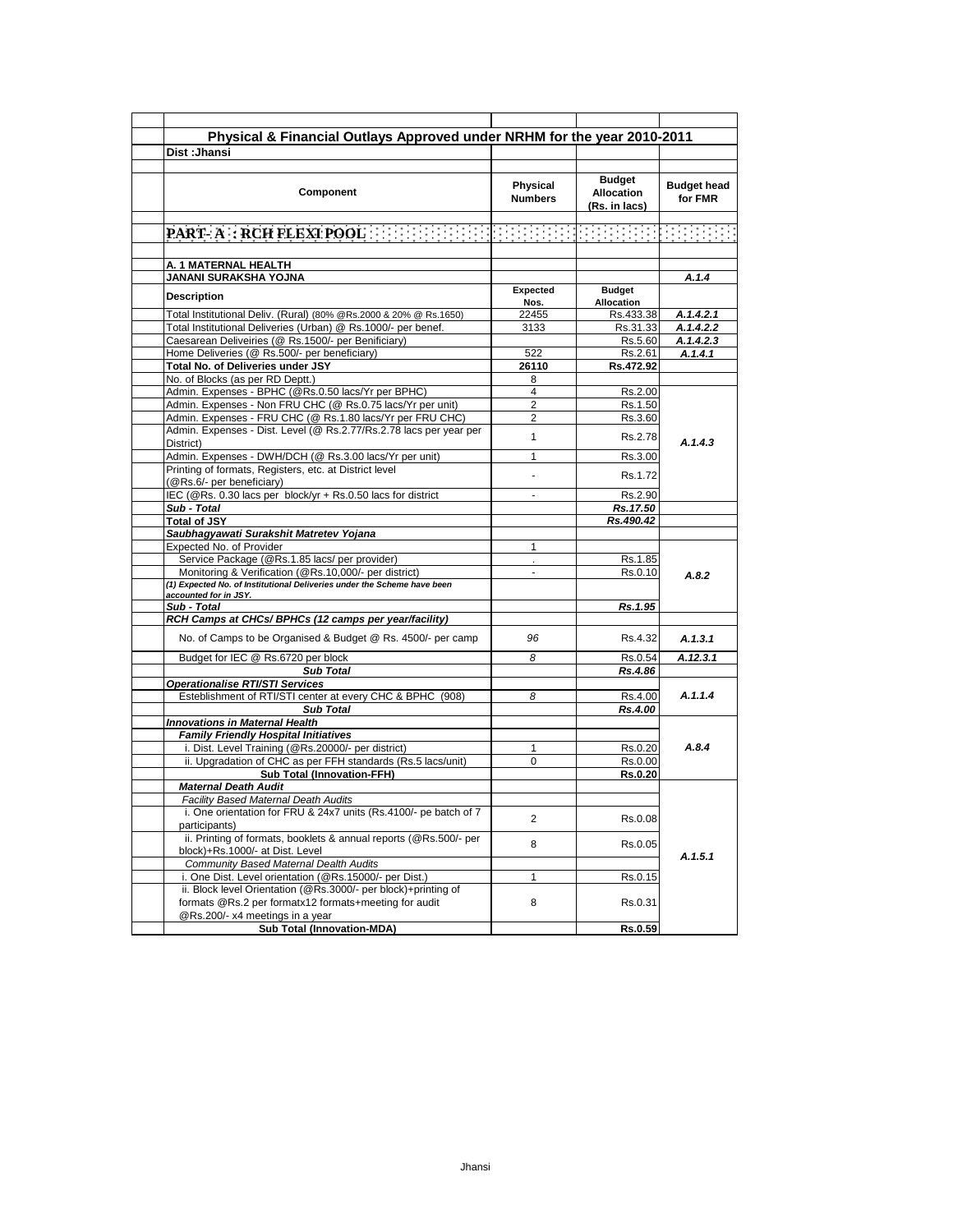| Physical & Financial Outlays Approved under NRHM for the year 2010-2011                                                          |                |                    |                    |
|----------------------------------------------------------------------------------------------------------------------------------|----------------|--------------------|--------------------|
| Dist: Jhansi                                                                                                                     |                |                    |                    |
|                                                                                                                                  |                |                    |                    |
|                                                                                                                                  |                | <b>Budget</b>      |                    |
| Component                                                                                                                        | Physical       | <b>Allocation</b>  | <b>Budget head</b> |
|                                                                                                                                  | <b>Numbers</b> | (Rs. in lacs)      | for FMR            |
|                                                                                                                                  |                |                    |                    |
|                                                                                                                                  |                |                    |                    |
|                                                                                                                                  |                |                    |                    |
|                                                                                                                                  |                |                    |                    |
| A. 1 MATERNAL HEALTH<br>JANANI SURAKSHA YOJNA                                                                                    |                |                    | A.1.4              |
|                                                                                                                                  | Expected       | <b>Budget</b>      |                    |
| <b>Description</b>                                                                                                               | Nos.           | Allocation         |                    |
| Total Institutional Deliv. (Rural) (80% @Rs.2000 & 20% @ Rs.1650)                                                                | 22455          | Rs.433.38          | A.1.4.2.1          |
| Total Institutional Deliveries (Urban) @ Rs.1000/- per benef.                                                                    | 3133           | Rs.31.33           | A.1.4.2.2          |
| Caesarean Deliveiries (@ Rs.1500/- per Benificiary)                                                                              |                | Rs.5.60            | A.1.4.2.3          |
| Home Deliveries (@ Rs.500/- per beneficiary)                                                                                     | 522            | Rs.2.61            | A.1.4.1            |
| Total No. of Deliveries under JSY                                                                                                | 26110          | Rs.472.92          |                    |
| No. of Blocks (as per RD Deptt.)                                                                                                 | 8              |                    |                    |
| Admin. Expenses - BPHC (@Rs.0.50 lacs/Yr per BPHC)                                                                               | 4              | Rs.2.00            |                    |
| Admin. Expenses - Non FRU CHC (@ Rs.0.75 lacs/Yr per unit)                                                                       | $\overline{2}$ | Rs.1.50            |                    |
| Admin. Expenses - FRU CHC (@ Rs.1.80 lacs/Yr per FRU CHC)                                                                        | 2              | Rs.3.60            |                    |
| Admin. Expenses - Dist. Level (@ Rs.2.77/Rs.2.78 lacs per year per                                                               | $\mathbf{1}$   | Rs.2.78            |                    |
| District)                                                                                                                        |                |                    | A.1.4.3            |
| Admin. Expenses - DWH/DCH (@ Rs.3.00 lacs/Yr per unit)                                                                           | 1              | Rs.3.00            |                    |
| Printing of formats, Registers, etc. at District level                                                                           |                | Rs.1.72            |                    |
| (@Rs.6/- per beneficiary)                                                                                                        |                |                    |                    |
| IEC (@Rs. 0.30 lacs per block/yr + Rs.0.50 lacs for district                                                                     |                | Rs.2.90            |                    |
| Sub - Total                                                                                                                      |                | Rs.17.50           |                    |
| <b>Total of JSY</b>                                                                                                              |                | Rs.490.42          |                    |
| Saubhagyawati Surakshit Matretev Yojana                                                                                          |                |                    |                    |
| Expected No. of Provider                                                                                                         | 1              |                    |                    |
| Service Package (@Rs.1.85 lacs/ per provider)                                                                                    | ÷.             | Rs.1.85            |                    |
| Monitoring & Verification (@Rs.10,000/- per district)<br>(1) Expected No. of Institutional Deliveries under the Scheme have been |                | Rs.0.10            | A.8.2              |
| accounted for in JSY.                                                                                                            |                |                    |                    |
| Sub - Total                                                                                                                      |                | Rs.1.95            |                    |
| RCH Camps at CHCs/ BPHCs (12 camps per year/facility)                                                                            |                |                    |                    |
| No. of Camps to be Organised & Budget @ Rs. 4500/- per camp                                                                      | 96             | Rs.4.32            | A.1.3.1            |
|                                                                                                                                  |                |                    |                    |
| Budget for IEC @ Rs.6720 per block                                                                                               | 8              | Rs.0.54            | A.12.3.1           |
| <b>Sub Total</b>                                                                                                                 |                | Rs.4.86            |                    |
| <b>Operationalise RTI/STI Services</b>                                                                                           |                |                    |                    |
| Esteblishment of RTI/STI center at every CHC & BPHC (908)                                                                        | 8              | Rs.4.00            | A.1.1.4            |
| <b>Sub Total</b>                                                                                                                 |                | Rs.4.00            |                    |
| <b>Innovations in Maternal Health</b>                                                                                            |                |                    |                    |
| <b>Family Friendly Hospital Initiatives</b>                                                                                      |                |                    |                    |
| i. Dist. Level Training (@Rs.20000/- per district)<br>ii. Upgradation of CHC as per FFH standards (Rs.5 lacs/unit)               | 1<br>0         | Rs.0.20<br>Rs.0.00 | A.8.4              |
| <b>Sub Total (Innovation-FFH)</b>                                                                                                |                | <b>Rs.0.20</b>     |                    |
| <b>Maternal Death Audit</b>                                                                                                      |                |                    |                    |
| Facility Based Maternal Death Audits                                                                                             |                |                    |                    |
| i. One orientation for FRU & 24x7 units (Rs.4100/- pe batch of 7                                                                 |                |                    |                    |
| participants)                                                                                                                    | $\overline{2}$ | Rs.0.08            |                    |
| ii. Printing of formats, booklets & annual reports (@Rs.500/- per                                                                |                |                    | A.1.5.1            |
| block)+Rs.1000/- at Dist. Level                                                                                                  | 8              | Rs.0.05            |                    |
| Community Based Maternal Dealth Audits                                                                                           |                |                    |                    |
| i. One Dist. Level orientation (@Rs.15000/- per Dist.)                                                                           | 1              | Rs.0.15            |                    |
| ii. Block level Orientation (@Rs.3000/- per block)+printing of                                                                   |                |                    |                    |
| formats @Rs.2 per formatx12 formats+meeting for audit                                                                            | 8              | Rs.0.31            |                    |
| @Rs.200/- x4 meetings in a year                                                                                                  |                |                    |                    |
| <b>Sub Total (Innovation-MDA)</b>                                                                                                |                | Rs.0.59            |                    |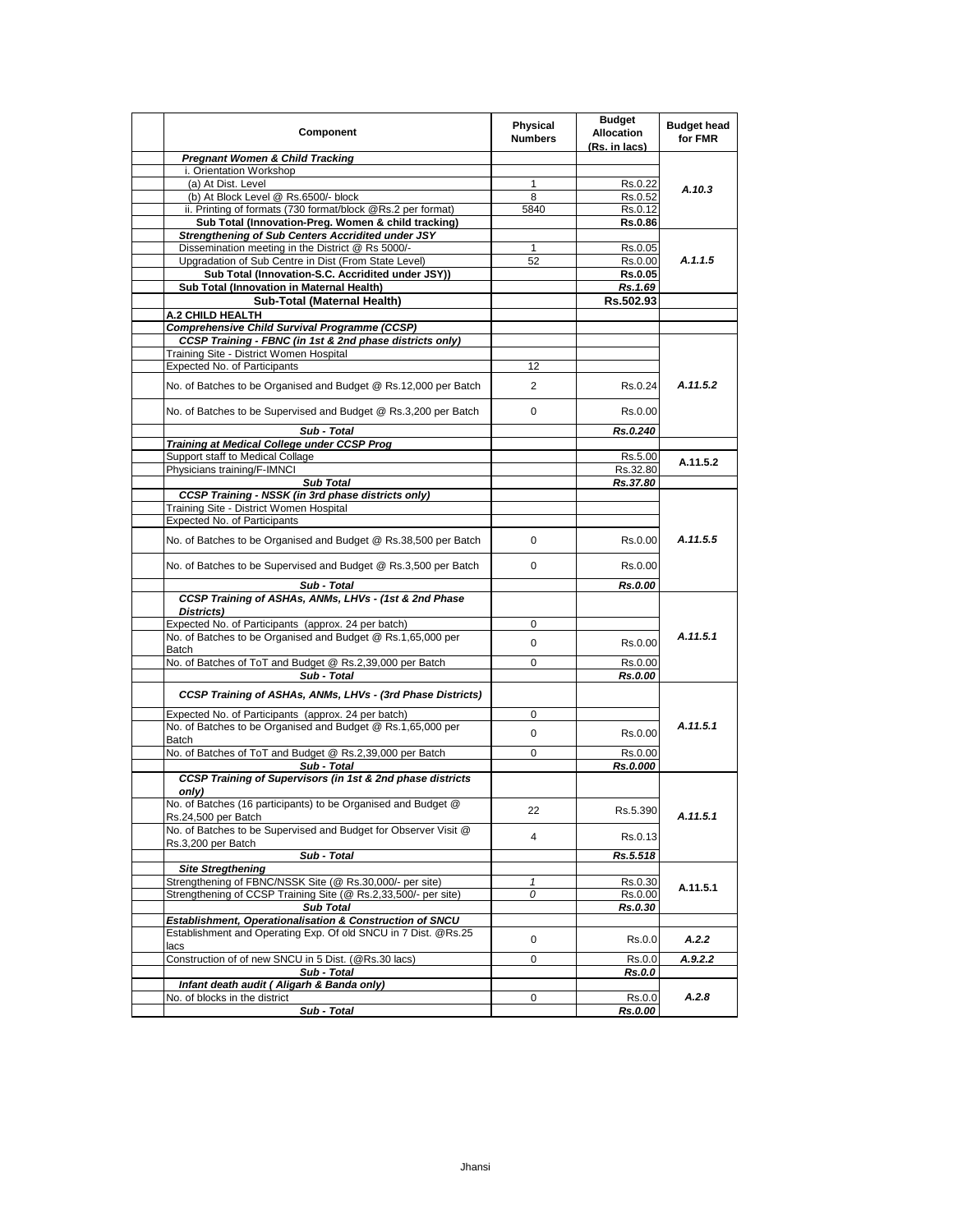| Component                                                                             | Physical<br><b>Numbers</b> | <b>Budget</b><br><b>Allocation</b><br>(Rs. in lacs) | <b>Budget head</b><br>for FMR |
|---------------------------------------------------------------------------------------|----------------------------|-----------------------------------------------------|-------------------------------|
| <b>Pregnant Women &amp; Child Tracking</b>                                            |                            |                                                     |                               |
| i. Orientation Workshop                                                               |                            |                                                     | A.10.3                        |
| (a) At Dist. Level                                                                    | 1                          | Rs.0.22                                             |                               |
| (b) At Block Level @ Rs.6500/- block                                                  | 8                          | Rs.0.52                                             |                               |
| ii. Printing of formats (730 format/block @Rs.2 per format)                           | 5840                       | Rs.0.12                                             |                               |
| Sub Total (Innovation-Preg. Women & child tracking)                                   |                            | <b>Rs.0.86</b>                                      |                               |
| Strengthening of Sub Centers Accridited under JSY                                     |                            |                                                     |                               |
| Dissemination meeting in the District @ Rs 5000/-                                     | 1                          | Rs.0.05                                             |                               |
| Upgradation of Sub Centre in Dist (From State Level)                                  | 52                         | Rs.0.00                                             | A.1.1.5                       |
| Sub Total (Innovation-S.C. Accridited under JSY))                                     |                            | <b>Rs.0.05</b>                                      |                               |
| Sub Total (Innovation in Maternal Health)                                             |                            | Rs.1.69                                             |                               |
| Sub-Total (Maternal Health)                                                           |                            | Rs.502.93                                           |                               |
| A.2 CHILD HEALTH                                                                      |                            |                                                     |                               |
| <b>Comprehensive Child Survival Programme (CCSP)</b>                                  |                            |                                                     |                               |
| CCSP Training - FBNC (in 1st & 2nd phase districts only)                              |                            |                                                     |                               |
| Training Site - District Women Hospital                                               |                            |                                                     |                               |
| Expected No. of Participants                                                          | 12                         |                                                     |                               |
| No. of Batches to be Organised and Budget @ Rs.12,000 per Batch                       | $\overline{2}$             | Rs.0.24                                             | A.11.5.2                      |
| No. of Batches to be Supervised and Budget @ Rs.3,200 per Batch                       | 0                          | Rs.0.00                                             |                               |
| Sub - Total                                                                           |                            | Rs.0.240                                            |                               |
| Training at Medical College under CCSP Prog                                           |                            |                                                     |                               |
| Support staff to Medical Collage                                                      |                            | Rs.5.00                                             | A.11.5.2                      |
| Physicians training/F-IMNCI                                                           |                            | Rs.32.80                                            |                               |
| <b>Sub Total</b>                                                                      |                            | Rs.37.80                                            |                               |
| <b>CCSP Training - NSSK (in 3rd phase districts only)</b>                             |                            |                                                     |                               |
| Training Site - District Women Hospital                                               |                            |                                                     |                               |
| Expected No. of Participants                                                          |                            |                                                     |                               |
| No. of Batches to be Organised and Budget @ Rs.38,500 per Batch                       | $\Omega$                   | Rs.0.00                                             | A.11.5.5                      |
| No. of Batches to be Supervised and Budget @ Rs.3,500 per Batch                       | $\Omega$                   | Rs.0.00                                             |                               |
| Sub - Total                                                                           |                            | Rs.0.00                                             |                               |
| CCSP Training of ASHAs, ANMs, LHVs - (1st & 2nd Phase<br>Districts)                   |                            |                                                     |                               |
| Expected No. of Participants (approx. 24 per batch)                                   | 0                          |                                                     |                               |
| No. of Batches to be Organised and Budget @ Rs.1,65,000 per                           |                            |                                                     | A.11.5.1                      |
| Batch                                                                                 | 0                          | Rs.0.00                                             |                               |
| No. of Batches of ToT and Budget @ Rs.2,39,000 per Batch                              | 0                          | Rs.0.00                                             |                               |
| Sub - Total                                                                           |                            | Rs.0.00                                             |                               |
| CCSP Training of ASHAs, ANMs, LHVs - (3rd Phase Districts)                            |                            |                                                     |                               |
| Expected No. of Participants (approx. 24 per batch)                                   | 0                          |                                                     |                               |
| No. of Batches to be Organised and Budget @ Rs.1,65,000 per<br><b>Batch</b>           | 0                          | Rs.0.00                                             | A.11.5.1                      |
| No. of Batches of ToT and Budget @ Rs.2,39,000 per Batch                              | 0                          | Rs.0.00                                             |                               |
| Sub - Total                                                                           |                            | Rs.0.000                                            |                               |
| CCSP Training of Supervisors (in 1st & 2nd phase districts<br>only)                   |                            |                                                     |                               |
| No. of Batches (16 participants) to be Organised and Budget @<br>Rs.24,500 per Batch  | 22                         | Rs.5.390                                            | A.11.5.1                      |
| No. of Batches to be Supervised and Budget for Observer Visit @<br>Rs.3,200 per Batch | 4                          | Rs.0.13                                             |                               |
| Sub - Total                                                                           |                            | Rs.5.518                                            |                               |
| <b>Site Stregthening</b>                                                              |                            |                                                     |                               |
| Strengthening of FBNC/NSSK Site (@ Rs.30,000/- per site)                              | 1                          | Rs.0.30                                             |                               |
| Strengthening of CCSP Training Site (@ Rs.2,33,500/- per site)                        | 0                          | Rs.0.00                                             | A.11.5.1                      |
| <b>Sub Total</b>                                                                      |                            | Rs.0.30                                             |                               |
| Establishment, Operationalisation & Construction of SNCU                              |                            |                                                     |                               |
| Establishment and Operating Exp. Of old SNCU in 7 Dist. @Rs.25                        |                            |                                                     |                               |
| lacs                                                                                  | 0                          | Rs.0.0                                              | A.2.2                         |
| Construction of of new SNCU in 5 Dist. (@Rs.30 lacs)                                  | 0                          | Rs.0.0                                              | A.9.2.2                       |
| Sub - Total                                                                           |                            | Rs.0.0                                              |                               |
| Infant death audit ( Aligarh & Banda only)                                            |                            |                                                     |                               |
| No. of blocks in the district                                                         | 0                          | Rs.0.0                                              | A.2.8                         |
| Sub - Total                                                                           |                            | Rs.0.00                                             |                               |
|                                                                                       |                            |                                                     |                               |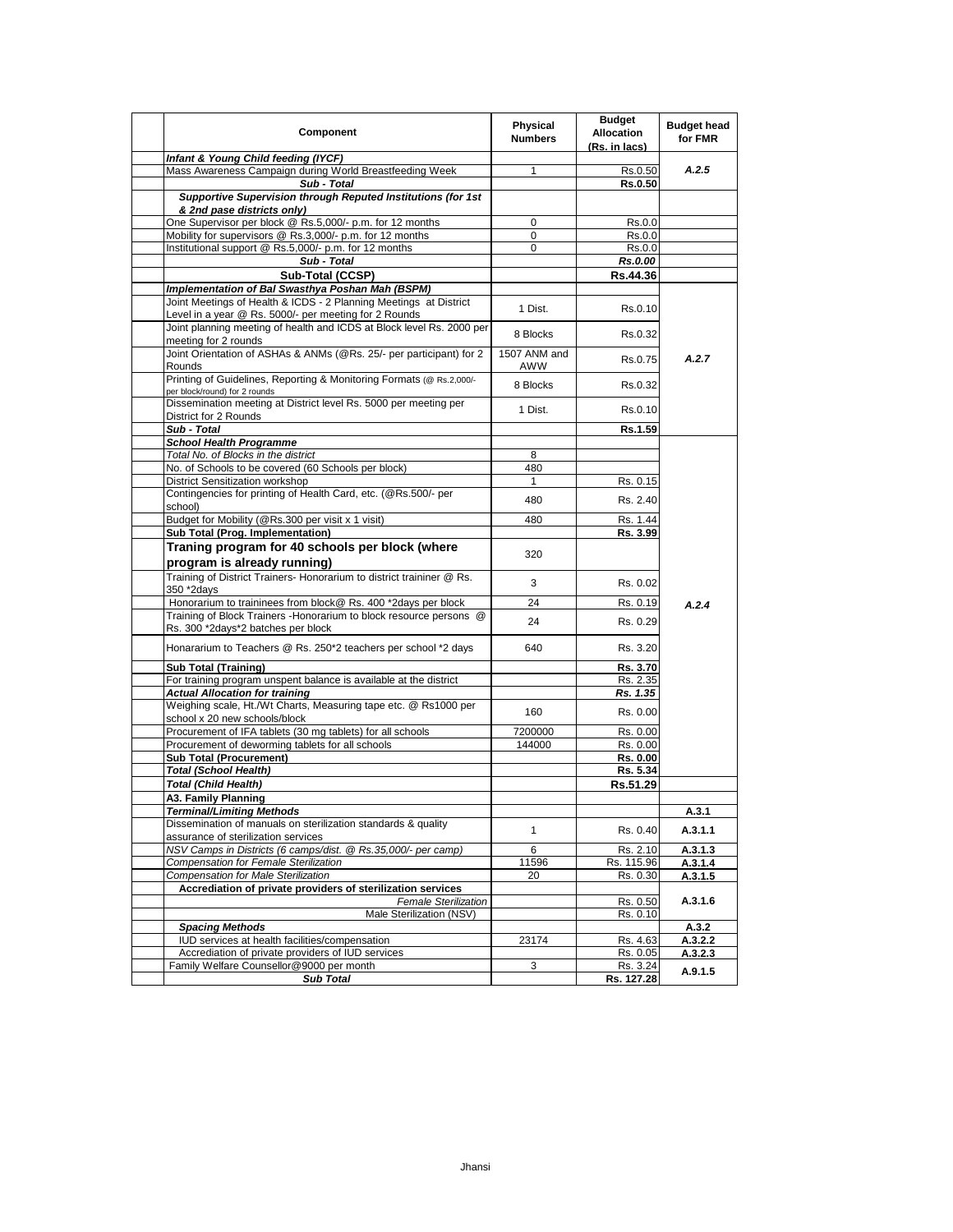| Component                                                                                                             | Physical<br><b>Numbers</b> | <b>Budget</b><br><b>Allocation</b><br>(Rs. in lacs) | <b>Budget head</b><br>for FMR |
|-----------------------------------------------------------------------------------------------------------------------|----------------------------|-----------------------------------------------------|-------------------------------|
| Infant & Young Child feeding (IYCF)                                                                                   |                            |                                                     |                               |
| Mass Awareness Campaign during World Breastfeeding Week                                                               | $\mathbf{1}$               | Rs.0.50                                             | A.2.5                         |
| Sub - Total<br>Supportive Supervision through Reputed Institutions (for 1st                                           |                            | <b>Rs.0.50</b>                                      |                               |
| & 2nd pase districts only)                                                                                            |                            |                                                     |                               |
| One Supervisor per block @ Rs.5,000/- p.m. for 12 months                                                              | 0                          | Rs.0.0                                              |                               |
| Mobility for supervisors @ Rs.3,000/- p.m. for 12 months                                                              | $\Omega$                   | Rs.0.0                                              |                               |
| Institutional support @ Rs.5,000/- p.m. for 12 months                                                                 | $\mathbf 0$                | Rs.0.0                                              |                               |
| Sub - Total                                                                                                           |                            | Rs.0.00                                             |                               |
| Sub-Total (CCSP)                                                                                                      |                            | Rs.44.36                                            |                               |
| Implementation of Bal Swasthya Poshan Mah (BSPM)<br>Joint Meetings of Health & ICDS - 2 Planning Meetings at District |                            |                                                     |                               |
| Level in a year @ Rs. 5000/- per meeting for 2 Rounds                                                                 | 1 Dist.                    | Rs.0.10                                             |                               |
| Joint planning meeting of health and ICDS at Block level Rs. 2000 per                                                 |                            |                                                     |                               |
| meeting for 2 rounds                                                                                                  | 8 Blocks                   | Rs.0.32                                             |                               |
| Joint Orientation of ASHAs & ANMs (@Rs. 25/- per participant) for 2<br>Rounds                                         | 1507 ANM and<br>AWW        | Rs.0.75                                             | A.2.7                         |
| Printing of Guidelines, Reporting & Monitoring Formats (@ Rs.2,000/-<br>per block/round) for 2 rounds                 | 8 Blocks                   | Rs.0.32                                             |                               |
| Dissemination meeting at District level Rs. 5000 per meeting per<br>District for 2 Rounds                             | 1 Dist.                    | Rs.0.10                                             |                               |
| Sub - Total                                                                                                           |                            | Rs.1.59                                             |                               |
| <b>School Health Programme</b>                                                                                        |                            |                                                     |                               |
| Total No. of Blocks in the district                                                                                   | 8                          |                                                     |                               |
| No. of Schools to be covered (60 Schools per block)                                                                   | 480                        |                                                     |                               |
| District Sensitization workshop                                                                                       | $\mathbf{1}$               | Rs. 0.15                                            |                               |
| Contingencies for printing of Health Card, etc. (@Rs.500/- per<br>school)                                             | 480                        | Rs. 2.40                                            |                               |
| Budget for Mobility (@Rs.300 per visit x 1 visit)                                                                     | 480                        | Rs. 1.44                                            |                               |
| Sub Total (Prog. Implementation)                                                                                      |                            | Rs. 3.99                                            |                               |
| Traning program for 40 schools per block (where                                                                       | 320                        |                                                     |                               |
| program is already running)                                                                                           |                            |                                                     |                               |
| Training of District Trainers- Honorarium to district traininer @ Rs.                                                 | 3                          | Rs. 0.02                                            |                               |
| 350 *2days<br>Honorarium to traininees from block@ Rs. 400 *2days per block                                           | 24                         | Rs. 0.19                                            |                               |
| Training of Block Trainers - Honorarium to block resource persons @                                                   |                            |                                                     | A.2.4                         |
| Rs. 300 *2days*2 batches per block                                                                                    | 24                         | Rs. 0.29                                            |                               |
| Honararium to Teachers @ Rs. 250*2 teachers per school *2 days                                                        | 640                        | Rs. 3.20                                            |                               |
| <b>Sub Total (Training)</b>                                                                                           |                            | Rs. 3.70                                            |                               |
| For training program unspent balance is available at the district                                                     |                            | Rs. 2.35                                            |                               |
| <b>Actual Allocation for training</b>                                                                                 |                            | Rs. 1.35                                            |                               |
| Weighing scale, Ht./Wt Charts, Measuring tape etc. @ Rs1000 per<br>school x 20 new schools/block                      | 160                        | Rs. 0.00                                            |                               |
| Procurement of IFA tablets (30 mg tablets) for all schools                                                            | 7200000                    | Rs. 0.00                                            |                               |
| Procurement of deworming tablets for all schools                                                                      | 144000                     | Rs. 0.00                                            |                               |
| Sub Total (Procurement)                                                                                               |                            | Rs. 0.00                                            |                               |
| <b>Total (School Health)</b>                                                                                          |                            | Rs. 5.34                                            |                               |
| <b>Total (Child Health)</b>                                                                                           |                            | Rs.51.29                                            |                               |
| A3. Family Planning<br><u>Terminal/Limiting Methods</u>                                                               |                            |                                                     | <u>A.3.1</u>                  |
| Dissemination of manuals on sterilization standards & quality                                                         |                            |                                                     |                               |
| assurance of sterilization services                                                                                   | 1                          | Rs. 0.40                                            | A.3.1.1                       |
| NSV Camps in Districts (6 camps/dist. @ Rs.35,000/- per camp)                                                         | 6                          | Rs. 2.10                                            | A.3.1.3                       |
| Compensation for Female Sterilization                                                                                 | 11596                      | Rs. 115.96                                          | A.3.1.4                       |
| <b>Compensation for Male Sterilization</b>                                                                            | 20                         | Rs. 0.30                                            | A.3.1.5                       |
| Accrediation of private providers of sterilization services<br><b>Female Sterilization</b>                            |                            | Rs. 0.50                                            | A.3.1.6                       |
| Male Sterilization (NSV)                                                                                              |                            | Rs. 0.10                                            |                               |
| <b>Spacing Methods</b>                                                                                                |                            |                                                     | A.3.2                         |
| IUD services at health facilities/compensation                                                                        | 23174                      | Rs. 4.63                                            | A.3.2.2                       |
| Accrediation of private providers of IUD services                                                                     |                            | Rs. 0.05                                            | A.3.2.3                       |
| Family Welfare Counsellor@9000 per month                                                                              | 3                          | Rs. 3.24                                            | A.9.1.5                       |
| <b>Sub Total</b>                                                                                                      |                            | <u>Rs. 127.28</u>                                   |                               |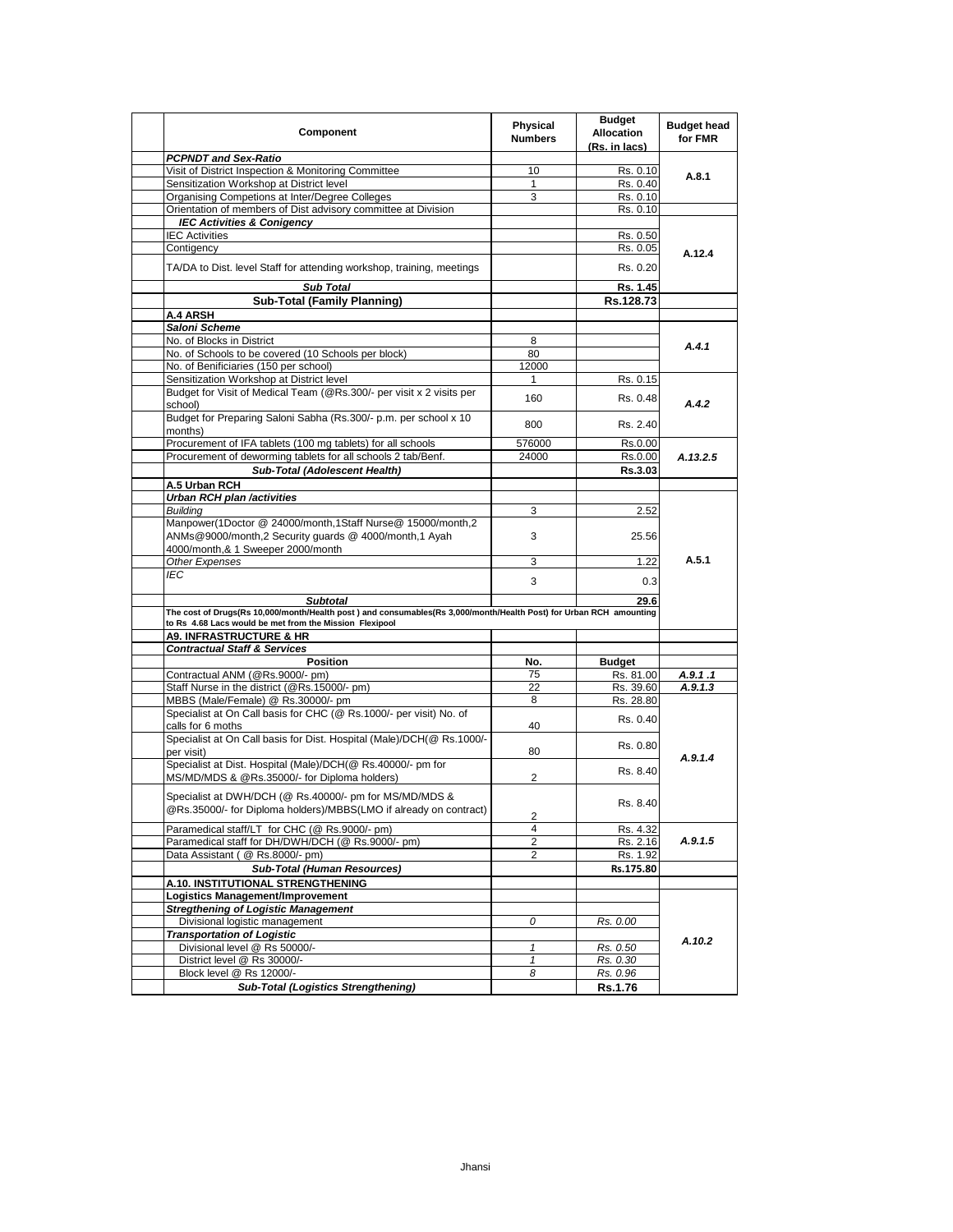| Component                                                                                                                                                                     | Physical<br><b>Numbers</b> | <b>Budget</b><br><b>Allocation</b><br>(Rs. in lacs) | <b>Budget head</b><br>for FMR |
|-------------------------------------------------------------------------------------------------------------------------------------------------------------------------------|----------------------------|-----------------------------------------------------|-------------------------------|
| <b>PCPNDT and Sex-Ratio</b>                                                                                                                                                   |                            |                                                     |                               |
| Visit of District Inspection & Monitoring Committee                                                                                                                           | 10                         | Rs. 0.10                                            | A.8.1                         |
| Sensitization Workshop at District level                                                                                                                                      | 1                          | Rs. 0.40                                            |                               |
| Organising Competions at Inter/Degree Colleges                                                                                                                                | 3                          | Rs. 0.10                                            |                               |
| Orientation of members of Dist advisory committee at Division                                                                                                                 |                            | Rs. 0.10                                            |                               |
| <b>IEC Activities &amp; Conigency</b>                                                                                                                                         |                            |                                                     |                               |
| <b>IEC Activities</b>                                                                                                                                                         |                            | Rs. 0.50                                            |                               |
| Contigency                                                                                                                                                                    |                            | Rs. 0.05                                            | A.12.4                        |
| TA/DA to Dist. level Staff for attending workshop, training, meetings                                                                                                         |                            | Rs. 0.20                                            |                               |
| <b>Sub Total</b>                                                                                                                                                              |                            | Rs. 1.45                                            |                               |
| <b>Sub-Total (Family Planning)</b>                                                                                                                                            |                            | Rs.128.73                                           |                               |
| A.4 ARSH                                                                                                                                                                      |                            |                                                     |                               |
| Saloni Scheme                                                                                                                                                                 |                            |                                                     |                               |
| No. of Blocks in District                                                                                                                                                     | 8                          |                                                     | A.4.1                         |
| No. of Schools to be covered (10 Schools per block)                                                                                                                           | 80                         |                                                     |                               |
| No. of Benificiaries (150 per school)                                                                                                                                         | 12000                      |                                                     |                               |
| Sensitization Workshop at District level                                                                                                                                      | 1                          | Rs. 0.15                                            |                               |
| Budget for Visit of Medical Team (@Rs.300/- per visit x 2 visits per<br>school)                                                                                               | 160                        | Rs. 0.48                                            | A.4.2                         |
| Budget for Preparing Saloni Sabha (Rs.300/- p.m. per school x 10<br>months)                                                                                                   | 800                        | Rs. 2.40                                            |                               |
| Procurement of IFA tablets (100 mg tablets) for all schools                                                                                                                   | 576000                     | Rs.0.00                                             |                               |
| Procurement of deworming tablets for all schools 2 tab/Benf.                                                                                                                  | 24000                      | Rs.0.00                                             | A.13.2.5                      |
| Sub-Total (Adolescent Health)                                                                                                                                                 |                            | Rs.3.03                                             |                               |
|                                                                                                                                                                               |                            |                                                     |                               |
| A.5 Urban RCH                                                                                                                                                                 |                            |                                                     |                               |
| <b>Urban RCH plan /activities</b>                                                                                                                                             |                            |                                                     | A.5.1                         |
| Building                                                                                                                                                                      | 3                          | 2.52                                                |                               |
| Manpower(1Doctor @ 24000/month,1Staff Nurse@ 15000/month,2<br>ANMs@9000/month,2 Security quards @ 4000/month,1 Ayah<br>4000/month,& 1 Sweeper 2000/month                      | 3                          | 25.56                                               |                               |
| Other Expenses                                                                                                                                                                | 3                          | 1.22                                                |                               |
| IEC                                                                                                                                                                           |                            |                                                     |                               |
|                                                                                                                                                                               | 3                          | 0.3                                                 |                               |
| <b>Subtotal</b>                                                                                                                                                               |                            | 29.6                                                |                               |
| The cost of Drugs(Rs 10,000/month/Health post) and consumables(Rs 3,000/month/Health Post) for Urban RCH amounting<br>to Rs 4.68 Lacs would be met from the Mission Flexipool |                            |                                                     |                               |
| <b>A9. INFRASTRUCTURE &amp; HR</b>                                                                                                                                            |                            |                                                     |                               |
| <b>Contractual Staff &amp; Services</b>                                                                                                                                       |                            |                                                     |                               |
| Position                                                                                                                                                                      | No.                        | <b>Budget</b>                                       |                               |
| Contractual ANM (@Rs.9000/- pm)                                                                                                                                               | 75                         | Rs. 81.00                                           | A.9.1.1                       |
| Staff Nurse in the district (@Rs.15000/- pm)                                                                                                                                  | 22                         | Rs. 39.60                                           | A.9.1.3                       |
| MBBS (Male/Female) @ Rs.30000/- pm                                                                                                                                            | 8                          | Rs. 28.80                                           |                               |
| Specialist at On Call basis for CHC (@ Rs.1000/- per visit) No. of<br>calls for 6 moths                                                                                       | 40                         | Rs. 0.40                                            |                               |
| Specialist at On Call basis for Dist. Hospital (Male)/DCH(@ Rs.1000/-<br>per visit)                                                                                           | 80                         | Rs. 0.80                                            |                               |
| Specialist at Dist. Hospital (Male)/DCH(@ Rs.40000/- pm for<br>MS/MD/MDS & @Rs.35000/- for Diploma holders)                                                                   | 2                          | Rs. 8.40                                            | A.9.1.4                       |
| Specialist at DWH/DCH (@ Rs.40000/- pm for MS/MD/MDS &<br>@Rs.35000/- for Diploma holders)/MBBS(LMO if already on contract)                                                   |                            | Rs. 8.40                                            |                               |
|                                                                                                                                                                               | 2                          |                                                     |                               |
| Paramedical staff/LT for CHC (@ Rs.9000/- pm)                                                                                                                                 | $\overline{4}$             | Rs. 4.32                                            |                               |
| Paramedical staff for DH/DWH/DCH (@ Rs.9000/- pm)                                                                                                                             | 2                          | Rs. 2.16                                            | A.9.1.5                       |
| Data Assistant ( @ Rs.8000/- pm)                                                                                                                                              | 2                          | Rs. 1.92                                            |                               |
| <b>Sub-Total (Human Resources)</b>                                                                                                                                            |                            | Rs.175.80                                           |                               |
| A.10. INSTITUTIONAL STRENGTHENING                                                                                                                                             |                            |                                                     |                               |
| Logistics Management/Improvement                                                                                                                                              |                            |                                                     |                               |
| <b>Streathening of Logistic Management</b>                                                                                                                                    |                            |                                                     |                               |
| Divisional logistic management                                                                                                                                                | 0                          | Rs. 0.00                                            | A.10.2                        |
| <b>Transportation of Logistic</b>                                                                                                                                             |                            |                                                     |                               |
| Divisional level @ Rs 50000/-                                                                                                                                                 | $\mathbf{1}$               | Rs. 0.50                                            |                               |
| District level @ Rs 30000/-                                                                                                                                                   | $\mathbf{1}$               | Rs. 0.30                                            |                               |
| Block level @ Rs 12000/-                                                                                                                                                      | 8                          | Rs. 0.96                                            |                               |
| <b>Sub-Total (Logistics Strengthening)</b>                                                                                                                                    |                            | <b>Rs.1.76</b>                                      |                               |
|                                                                                                                                                                               |                            |                                                     |                               |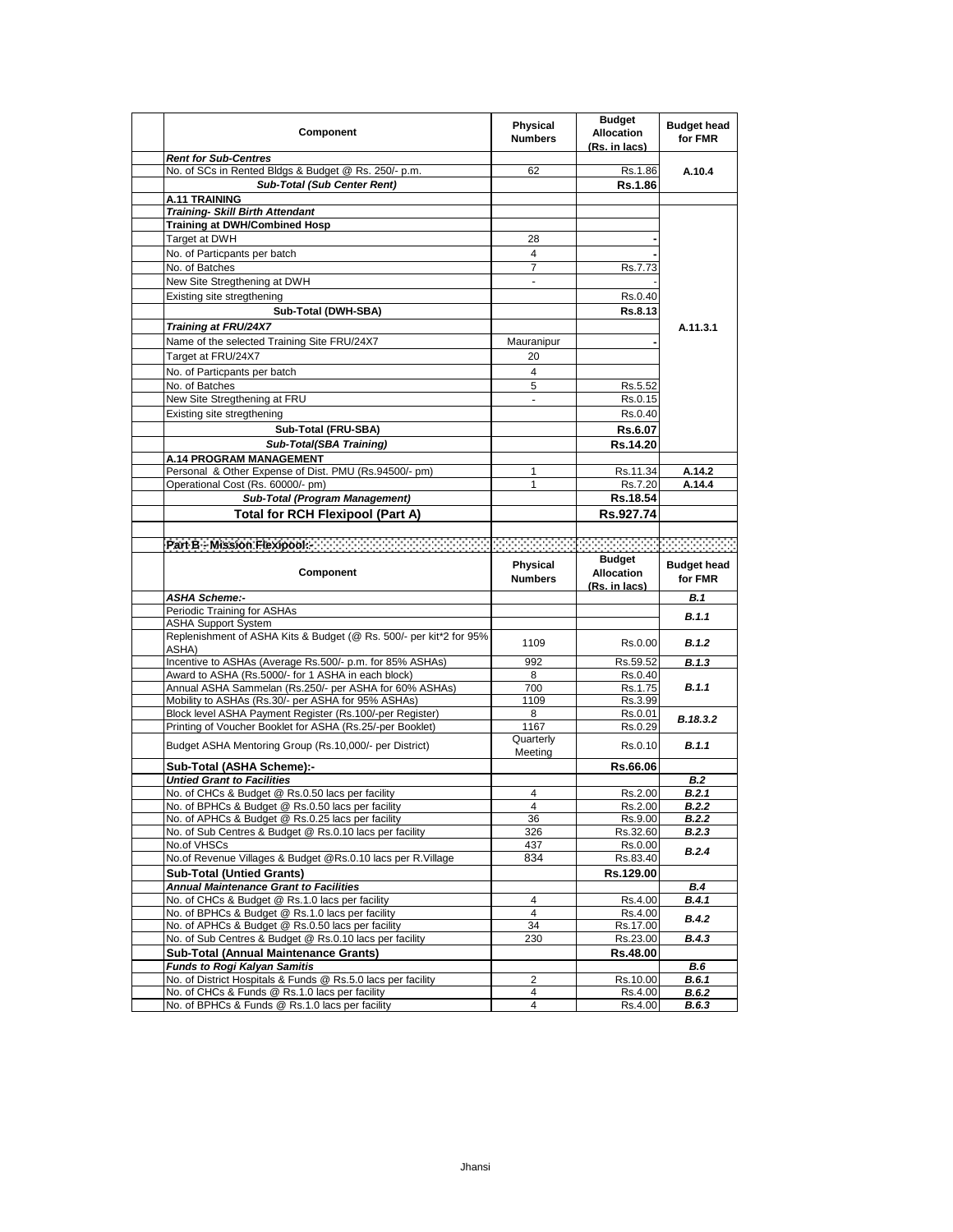| Component                                                                                                      | Physical<br><b>Numbers</b> | <b>Budget</b><br><b>Allocation</b><br>(Rs. in lacs) | <b>Budget head</b><br>for FMR |
|----------------------------------------------------------------------------------------------------------------|----------------------------|-----------------------------------------------------|-------------------------------|
| <b>Rent for Sub-Centres</b>                                                                                    |                            |                                                     |                               |
| No. of SCs in Rented Bldgs & Budget @ Rs. 250/- p.m.                                                           | 62                         | Rs.1.86                                             | A.10.4                        |
| Sub-Total (Sub Center Rent)                                                                                    |                            | <b>Rs.1.86</b>                                      |                               |
| A.11 TRAINING                                                                                                  |                            |                                                     |                               |
| <b>Training- Skill Birth Attendant</b><br><b>Training at DWH/Combined Hosp</b>                                 |                            |                                                     |                               |
| Target at DWH                                                                                                  | 28                         |                                                     |                               |
|                                                                                                                | 4                          |                                                     |                               |
| No. of Particpants per batch                                                                                   | $\overline{7}$             |                                                     |                               |
| No. of Batches<br>New Site Stregthening at DWH                                                                 | $\overline{\phantom{a}}$   | Rs.7.73                                             |                               |
|                                                                                                                |                            |                                                     |                               |
| Existing site stregthening                                                                                     |                            | Rs.0.40                                             |                               |
| Sub-Total (DWH-SBA)                                                                                            |                            | Rs.8.13                                             |                               |
| Training at FRU/24X7                                                                                           |                            |                                                     | A.11.3.1                      |
| Name of the selected Training Site FRU/24X7                                                                    | Mauranipur                 |                                                     |                               |
| Target at FRU/24X7                                                                                             | 20                         |                                                     |                               |
| No. of Particpants per batch                                                                                   | 4                          |                                                     |                               |
| No. of Batches                                                                                                 | 5                          | Rs.5.52                                             |                               |
| New Site Stregthening at FRU                                                                                   |                            | Rs.0.15                                             |                               |
| Existing site stregthening                                                                                     |                            | Rs.0.40                                             |                               |
| Sub-Total (FRU-SBA)                                                                                            |                            | Rs.6.07                                             |                               |
| Sub-Total(SBA Training)                                                                                        |                            | Rs.14.20                                            |                               |
| <b>A.14 PROGRAM MANAGEMENT</b>                                                                                 |                            |                                                     |                               |
| Personal & Other Expense of Dist. PMU (Rs.94500/- pm)                                                          | 1                          | Rs.11.34                                            | A.14.2                        |
| Operational Cost (Rs. 60000/- pm)                                                                              | 1                          | Rs.7.20                                             | A.14.4                        |
| Sub-Total (Program Management)                                                                                 |                            | Rs.18.54                                            |                               |
| Total for RCH Flexipool (Part A)                                                                               |                            | Rs.927.74                                           |                               |
|                                                                                                                |                            |                                                     |                               |
|                                                                                                                |                            |                                                     |                               |
|                                                                                                                |                            | <b>Budget</b>                                       |                               |
|                                                                                                                | Physical                   |                                                     | <b>Budget head</b>            |
|                                                                                                                |                            |                                                     |                               |
| Component                                                                                                      | <b>Numbers</b>             | <b>Allocation</b>                                   | for FMR                       |
| <b>ASHA Scheme:-</b>                                                                                           |                            | (Rs. in lacs)                                       | B.1                           |
| Periodic Training for ASHAs                                                                                    |                            |                                                     |                               |
| <b>ASHA Support System</b>                                                                                     |                            |                                                     | B.1.1                         |
| Replenishment of ASHA Kits & Budget (@ Rs. 500/- per kit*2 for 95%                                             |                            |                                                     |                               |
| ASHA)                                                                                                          | 1109                       | Rs.0.00                                             | B.1.2                         |
| Incentive to ASHAs (Average Rs.500/- p.m. for 85% ASHAs)                                                       | 992                        | Rs.59.52                                            | B.1.3                         |
| Award to ASHA (Rs.5000/- for 1 ASHA in each block)                                                             | 8                          | Rs.0.40                                             |                               |
| Annual ASHA Sammelan (Rs.250/- per ASHA for 60% ASHAs)                                                         | 700                        | Rs.1.75                                             | B.1.1                         |
| Mobility to ASHAs (Rs.30/- per ASHA for 95% ASHAs)                                                             | 1109                       | Rs.3.99                                             |                               |
| Block level ASHA Payment Register (Rs.100/-per Register)                                                       | 8                          | Rs.0.01                                             | B.18.3.2                      |
| Printing of Voucher Booklet for ASHA (Rs.25/-per Booklet)                                                      | 1167                       | Rs.0.29                                             |                               |
| Budget ASHA Mentoring Group (Rs.10,000/- per District)                                                         | Quarterly<br>Meeting       | Rs.0.10                                             | <b>B.1.1</b>                  |
| Sub-Total (ASHA Scheme):-                                                                                      |                            | Rs.66.06                                            |                               |
| <b>Untied Grant to Facilities</b>                                                                              |                            |                                                     | <b>B.2</b>                    |
| No. of CHCs & Budget @ Rs.0.50 lacs per facility                                                               | 4                          | Rs.2.00                                             | B.2.1                         |
| No. of BPHCs & Budget @ Rs.0.50 lacs per facility                                                              | 4                          | Rs.2.00                                             | B.2.2                         |
| No. of APHCs & Budget @ Rs.0.25 lacs per facility                                                              | 36                         | Rs.9.00                                             | <b>B.2.2</b>                  |
| No. of Sub Centres & Budget @ Rs.0.10 lacs per facility                                                        | 326                        | Rs.32.60                                            | B.2.3                         |
| No.of VHSCs                                                                                                    | 437                        | Rs.0.00                                             | B.2.4                         |
| No.of Revenue Villages & Budget @Rs.0.10 lacs per R.Village                                                    | 834                        | Rs.83.40                                            |                               |
| <b>Sub-Total (Untied Grants)</b>                                                                               |                            | Rs.129.00                                           |                               |
| <b>Annual Maintenance Grant to Facilities</b>                                                                  |                            |                                                     | <b>B.4</b>                    |
| No. of CHCs & Budget @ Rs.1.0 lacs per facility                                                                | 4                          | Rs.4.00                                             | B.4.1                         |
| No. of BPHCs & Budget @ Rs.1.0 lacs per facility                                                               | 4                          | Rs.4.00                                             | B.4.2                         |
| No. of APHCs & Budget @ Rs.0.50 lacs per facility                                                              | 34                         | Rs.17.00                                            |                               |
| No. of Sub Centres & Budget @ Rs.0.10 lacs per facility                                                        | 230                        | Rs.23.00                                            | <b>B.4.3</b>                  |
| Sub-Total (Annual Maintenance Grants)                                                                          |                            | Rs.48.00                                            |                               |
| <b>Funds to Rogi Kalyan Samitis</b>                                                                            | 2                          |                                                     | <b>B.6</b>                    |
| No. of District Hospitals & Funds @ Rs.5.0 lacs per facility<br>No. of CHCs & Funds @ Rs.1.0 lacs per facility | 4                          | Rs.10.00<br>Rs.4.00                                 | B.6.1<br>B.6.2                |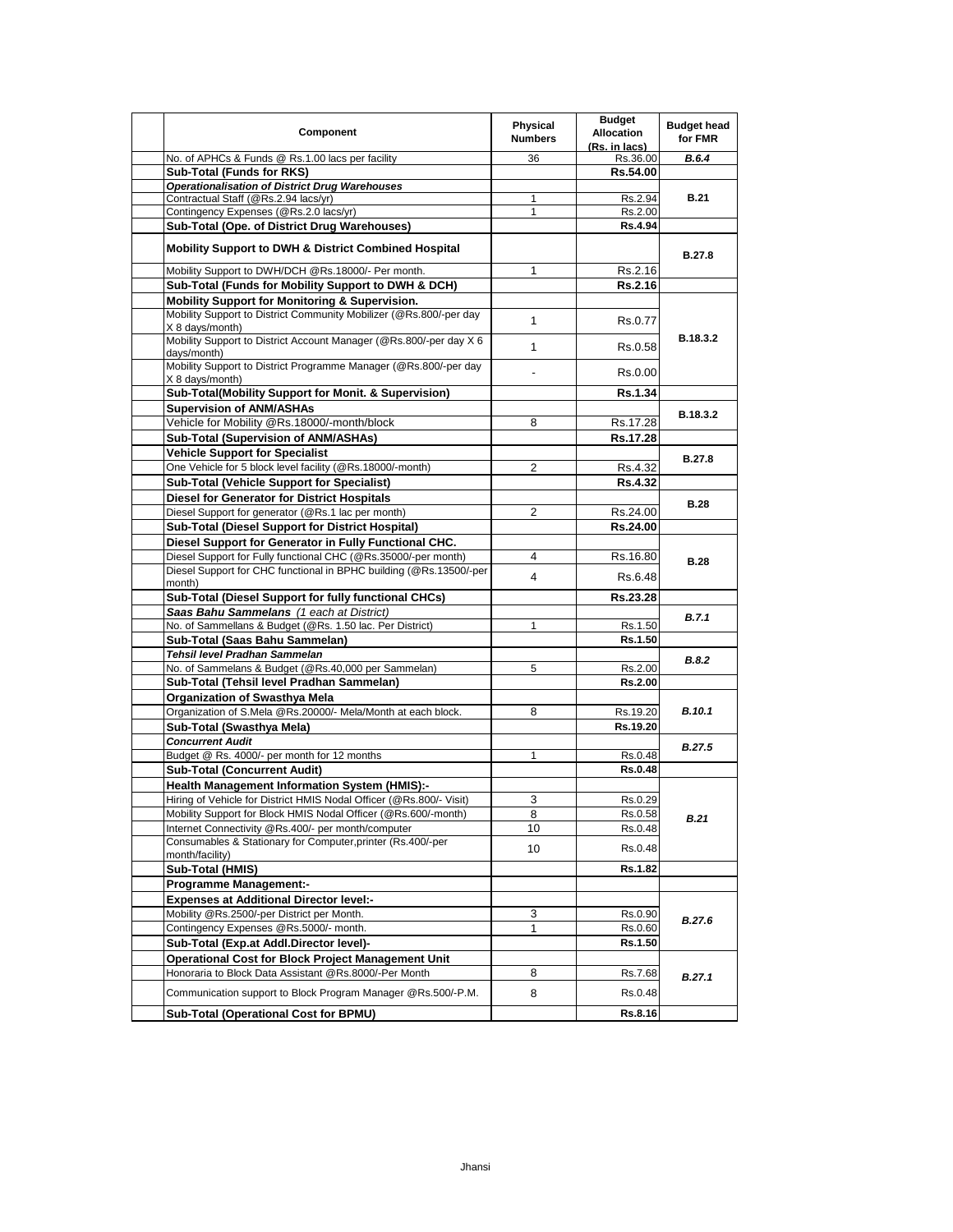| Component                                                                             | Physical<br><b>Numbers</b> | <b>Budget</b><br><b>Allocation</b><br>(Rs. in lacs) | <b>Budget head</b><br>for FMR |
|---------------------------------------------------------------------------------------|----------------------------|-----------------------------------------------------|-------------------------------|
| No. of APHCs & Funds @ Rs.1.00 lacs per facility                                      | 36                         | Rs.36.00                                            | <b>B.6.4</b>                  |
| Sub-Total (Funds for RKS)                                                             |                            | Rs.54.00                                            |                               |
| <b>Operationalisation of District Drug Warehouses</b>                                 |                            |                                                     | B.21                          |
| Contractual Staff (@Rs.2.94 lacs/yr)<br>Contingency Expenses (@Rs.2.0 lacs/yr)        | 1<br>1                     | Rs.2.94<br>Rs.2.00                                  |                               |
| Sub-Total (Ope. of District Drug Warehouses)                                          |                            | <b>Rs.4.94</b>                                      |                               |
|                                                                                       |                            |                                                     |                               |
| <b>Mobility Support to DWH &amp; District Combined Hospital</b>                       |                            |                                                     | B.27.8                        |
| Mobility Support to DWH/DCH @Rs.18000/- Per month.                                    | 1                          | Rs.2.16                                             |                               |
| Sub-Total (Funds for Mobility Support to DWH & DCH)                                   |                            | Rs.2.16                                             |                               |
| Mobility Support for Monitoring & Supervision.                                        |                            |                                                     |                               |
| Mobility Support to District Community Mobilizer (@Rs.800/-per day<br>X 8 days/month) | $\mathbf{1}$               | Rs.0.77                                             |                               |
| Mobility Support to District Account Manager (@Rs.800/-per day X 6<br>days/month)     | 1                          | Rs.0.58                                             | B.18.3.2                      |
| Mobility Support to District Programme Manager (@Rs.800/-per day<br>X 8 days/month)   |                            | Rs.0.00                                             |                               |
| Sub-Total(Mobility Support for Monit. & Supervision)                                  |                            | <b>Rs.1.34</b>                                      |                               |
| <b>Supervision of ANM/ASHAs</b>                                                       |                            |                                                     |                               |
| Vehicle for Mobility @Rs.18000/-month/block                                           | 8                          | Rs.17.28                                            | B.18.3.2                      |
| Sub-Total (Supervision of ANM/ASHAs)                                                  |                            | Rs.17.28                                            |                               |
| <b>Vehicle Support for Specialist</b>                                                 |                            |                                                     |                               |
| One Vehicle for 5 block level facility (@Rs.18000/-month)                             | $\overline{2}$             | Rs 4.32                                             | B.27.8                        |
| <b>Sub-Total (Vehicle Support for Specialist)</b>                                     |                            | Rs.4.32                                             |                               |
| <b>Diesel for Generator for District Hospitals</b>                                    |                            |                                                     |                               |
| Diesel Support for generator (@Rs.1 lac per month)                                    | $\overline{2}$             | Rs.24.00                                            | <b>B.28</b>                   |
| <b>Sub-Total (Diesel Support for District Hospital)</b>                               |                            | Rs.24.00                                            |                               |
| Diesel Support for Generator in Fully Functional CHC.                                 |                            |                                                     |                               |
| Diesel Support for Fully functional CHC (@Rs.35000/-per month)                        | 4                          | Rs.16.80                                            | <b>B.28</b>                   |
| Diesel Support for CHC functional in BPHC building (@Rs.13500/-per<br>month)          | $\overline{4}$             | Rs 6.48                                             |                               |
| Sub-Total (Diesel Support for fully functional CHCs)                                  |                            | Rs.23.28                                            |                               |
| Saas Bahu Sammelans (1 each at District)                                              |                            |                                                     |                               |
| No. of Sammellans & Budget (@Rs. 1.50 lac. Per District)                              | 1                          | Rs.1.50                                             | B.7.1                         |
| Sub-Total (Saas Bahu Sammelan)                                                        |                            | Rs.1.50                                             |                               |
| Tehsil level Pradhan Sammelan                                                         |                            |                                                     | <b>B.8.2</b>                  |
| No. of Sammelans & Budget (@Rs.40,000 per Sammelan)                                   | 5                          | Rs.2.00                                             |                               |
| Sub-Total (Tehsil level Pradhan Sammelan)                                             |                            | <b>Rs.2.00</b>                                      |                               |
| Organization of Swasthya Mela                                                         |                            |                                                     |                               |
| Organization of S.Mela @Rs.20000/- Mela/Month at each block.                          | 8                          | Rs.19.20                                            | B.10.1                        |
| Sub-Total (Swasthya Mela)                                                             |                            | Rs.19.20                                            |                               |
| <b>Concurrent Audit</b>                                                               | 1                          | Rs.0.48                                             | B.27.5                        |
| Budget @ Rs. 4000/- per month for 12 months<br><b>Sub-Total (Concurrent Audit)</b>    |                            | <b>Rs.0.48</b>                                      |                               |
| <b>Health Management Information System (HMIS):-</b>                                  |                            |                                                     |                               |
| Hiring of Vehicle for District HMIS Nodal Officer (@Rs.800/- Visit)                   | 3                          | Rs.0.29                                             |                               |
| Mobility Support for Block HMIS Nodal Officer (@Rs.600/-month)                        | 8                          | Rs.0.58                                             |                               |
| Internet Connectivity @Rs.400/- per month/computer                                    | 10                         | Rs.0.48                                             | B.21                          |
| Consumables & Stationary for Computer, printer (Rs.400/-per                           | 10                         | Rs.0.48                                             |                               |
| month/facility)<br>Sub-Total (HMIS)                                                   |                            | Rs.1.82                                             |                               |
| <b>Programme Management:-</b>                                                         |                            |                                                     |                               |
| <b>Expenses at Additional Director level:-</b>                                        |                            |                                                     |                               |
| Mobility @Rs.2500/-per District per Month.                                            | 3                          | Rs.0.90                                             |                               |
| Contingency Expenses @Rs.5000/- month.                                                | $\mathbf{1}$               | Rs.0.60                                             | B.27.6                        |
| Sub-Total (Exp.at Addl.Director level)-                                               |                            | Rs.1.50                                             |                               |
| <b>Operational Cost for Block Project Management Unit</b>                             |                            |                                                     |                               |
| Honoraria to Block Data Assistant @Rs.8000/-Per Month                                 | 8                          | Rs.7.68                                             | B.27.1                        |
| Communication support to Block Program Manager @Rs.500/-P.M.                          | 8                          | Rs.0.48                                             |                               |
| Sub-Total (Operational Cost for BPMU)                                                 |                            | <b>Rs.8.16</b>                                      |                               |
|                                                                                       |                            |                                                     |                               |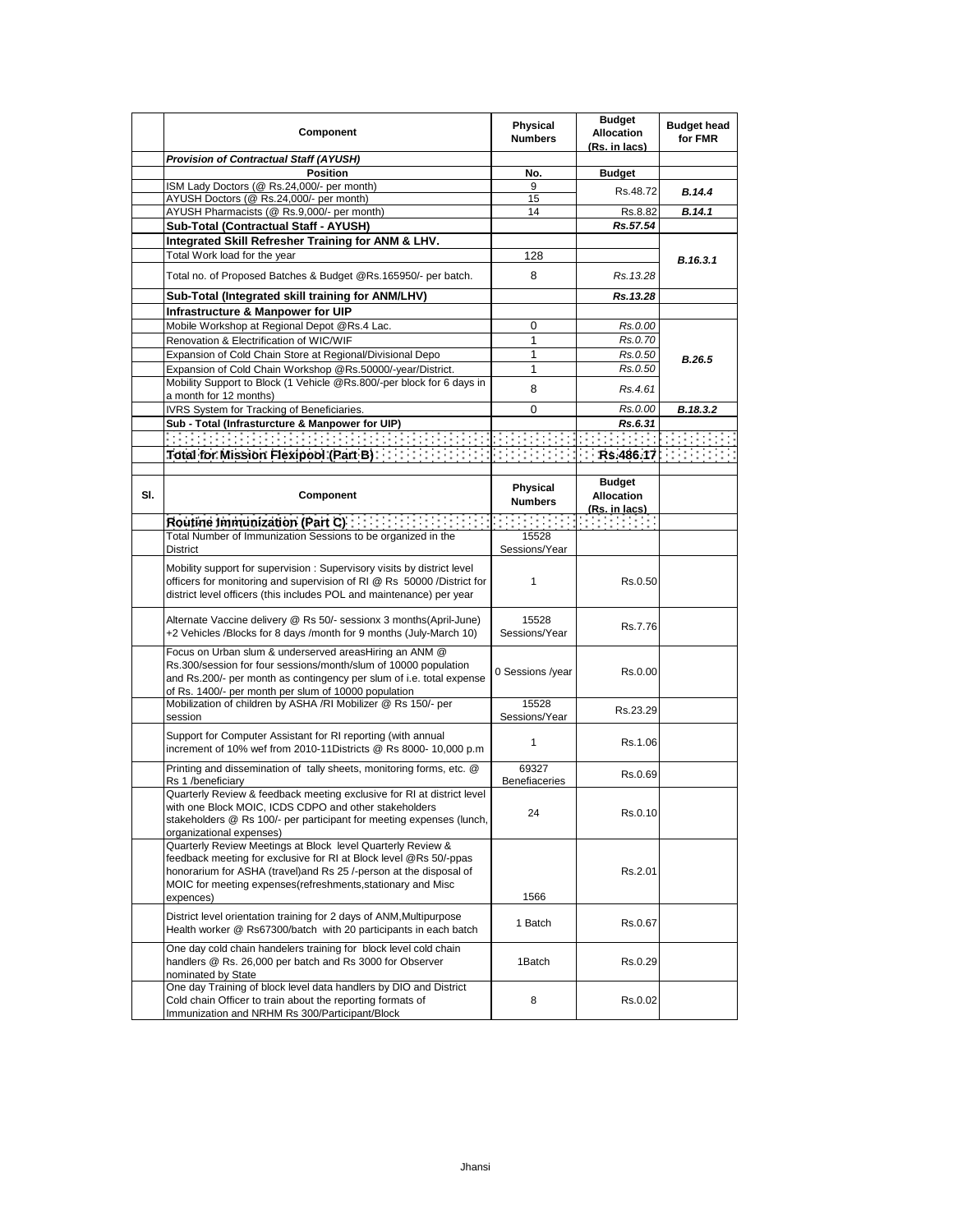|     | Component                                                                                                                                                                                                                                                                          | Physical<br><b>Numbers</b>    | <b>Budget</b><br><b>Allocation</b> | <b>Budget head</b><br>for FMR |
|-----|------------------------------------------------------------------------------------------------------------------------------------------------------------------------------------------------------------------------------------------------------------------------------------|-------------------------------|------------------------------------|-------------------------------|
|     |                                                                                                                                                                                                                                                                                    |                               | <u>(Rs. in lacs)</u>               |                               |
|     | <b>Provision of Contractual Staff (AYUSH)</b>                                                                                                                                                                                                                                      |                               |                                    |                               |
|     | <b>Position</b>                                                                                                                                                                                                                                                                    | No.                           | <b>Budget</b>                      |                               |
|     | ISM Lady Doctors (@ Rs.24,000/- per month)<br>AYUSH Doctors (@ Rs.24,000/- per month)                                                                                                                                                                                              | 9<br>15                       | Rs.48.72                           | B.14.4                        |
|     | AYUSH Pharmacists (@ Rs.9,000/- per month)                                                                                                                                                                                                                                         | 14                            | Rs.8.82                            | B.14.1                        |
|     |                                                                                                                                                                                                                                                                                    |                               | Rs.57.54                           |                               |
|     | Sub-Total (Contractual Staff - AYUSH)                                                                                                                                                                                                                                              |                               |                                    |                               |
|     | Integrated Skill Refresher Training for ANM & LHV.                                                                                                                                                                                                                                 |                               |                                    |                               |
|     | Total Work load for the year                                                                                                                                                                                                                                                       | 128                           |                                    | B.16.3.1                      |
|     | Total no. of Proposed Batches & Budget @Rs.165950/- per batch.                                                                                                                                                                                                                     | 8                             | Rs. 13.28                          |                               |
|     | Sub-Total (Integrated skill training for ANM/LHV)                                                                                                                                                                                                                                  |                               | Rs.13.28                           |                               |
|     | Infrastructure & Manpower for UIP                                                                                                                                                                                                                                                  |                               |                                    |                               |
|     | Mobile Workshop at Regional Depot @Rs.4 Lac.                                                                                                                                                                                                                                       | 0                             | Rs.0.00                            |                               |
|     | Renovation & Electrification of WIC/WIF                                                                                                                                                                                                                                            | 1                             | Rs.0.70                            |                               |
|     | Expansion of Cold Chain Store at Regional/Divisional Depo                                                                                                                                                                                                                          | 1                             | Rs.0.50                            | B.26.5                        |
|     | Expansion of Cold Chain Workshop @Rs.50000/-year/District.                                                                                                                                                                                                                         | 1                             | Rs.0.50                            |                               |
|     | Mobility Support to Block (1 Vehicle @Rs.800/-per block for 6 days in                                                                                                                                                                                                              |                               |                                    |                               |
|     | a month for 12 months)                                                                                                                                                                                                                                                             | 8                             | Rs.4.61                            |                               |
|     | IVRS System for Tracking of Beneficiaries.                                                                                                                                                                                                                                         | 0                             | Rs.0.00                            | B.18.3.2                      |
|     | Sub - Total (Infrasturcture & Manpower for UIP)                                                                                                                                                                                                                                    |                               | Rs.6.31                            |                               |
|     | · 在我们的 <u>学生的时候,我们的时候,我们的时候,我们的时候</u>                                                                                                                                                                                                                                              |                               |                                    |                               |
|     |                                                                                                                                                                                                                                                                                    |                               |                                    |                               |
|     |                                                                                                                                                                                                                                                                                    |                               |                                    |                               |
|     |                                                                                                                                                                                                                                                                                    |                               | <b>Budget</b>                      |                               |
| SI. | Component                                                                                                                                                                                                                                                                          | Physical                      | <b>Allocation</b>                  |                               |
|     |                                                                                                                                                                                                                                                                                    | <b>Numbers</b>                | (Rs. in lacs)                      |                               |
|     |                                                                                                                                                                                                                                                                                    |                               |                                    |                               |
|     | Total Number of Immunization Sessions to be organized in the                                                                                                                                                                                                                       | 15528                         |                                    |                               |
|     | District                                                                                                                                                                                                                                                                           | Sessions/Year                 |                                    |                               |
|     |                                                                                                                                                                                                                                                                                    |                               |                                    |                               |
|     | Mobility support for supervision: Supervisory visits by district level<br>officers for monitoring and supervision of RI @ Rs 50000 / District for<br>district level officers (this includes POL and maintenance) per year                                                          | $\mathbf{1}$                  | Rs.0.50                            |                               |
|     | Alternate Vaccine delivery @ Rs 50/- sessionx 3 months(April-June)<br>+2 Vehicles /Blocks for 8 days /month for 9 months (July-March 10)                                                                                                                                           | 15528<br>Sessions/Year        | Rs.7.76                            |                               |
|     | Focus on Urban slum & underserved areasHiring an ANM @<br>Rs.300/session for four sessions/month/slum of 10000 population<br>and Rs.200/- per month as contingency per slum of i.e. total expense<br>of Rs. 1400/- per month per slum of 10000 population                          | 0 Sessions /year              | Rs.0.00                            |                               |
|     | Mobilization of children by ASHA /RI Mobilizer @ Rs 150/- per                                                                                                                                                                                                                      | 15528                         | Rs.23.29                           |                               |
|     | session                                                                                                                                                                                                                                                                            | Sessions/Year                 |                                    |                               |
|     | Support for Computer Assistant for RI reporting (with annual<br>increment of 10% wef from 2010-11Districts @ Rs 8000- 10,000 p.m                                                                                                                                                   | 1                             | Rs.1.06                            |                               |
|     | Printing and dissemination of tally sheets, monitoring forms, etc. @<br>Rs 1 /beneficiary                                                                                                                                                                                          | 69327<br><b>Benefiaceries</b> | Rs.0.69                            |                               |
|     | Quarterly Review & feedback meeting exclusive for RI at district level<br>with one Block MOIC, ICDS CDPO and other stakeholders<br>stakeholders @ Rs 100/- per participant for meeting expenses (lunch,<br>organizational expenses)                                                | 24                            | Rs.0.10                            |                               |
|     | Quarterly Review Meetings at Block level Quarterly Review &<br>feedback meeting for exclusive for RI at Block level @Rs 50/-ppas<br>honorarium for ASHA (travel) and Rs 25 /-person at the disposal of<br>MOIC for meeting expenses(refreshments, stationary and Misc<br>expences) | 1566                          | Rs.2.01                            |                               |
|     | District level orientation training for 2 days of ANM, Multipurpose<br>Health worker @ Rs67300/batch with 20 participants in each batch                                                                                                                                            | 1 Batch                       | Rs.0.67                            |                               |
|     | One day cold chain handelers training for block level cold chain<br>handlers @ Rs. 26,000 per batch and Rs 3000 for Observer<br>nominated by State                                                                                                                                 | 1Batch                        | Rs.0.29                            |                               |
|     | One day Training of block level data handlers by DIO and District<br>Cold chain Officer to train about the reporting formats of<br>Immunization and NRHM Rs 300/Participant/Block                                                                                                  | 8                             | Rs.0.02                            |                               |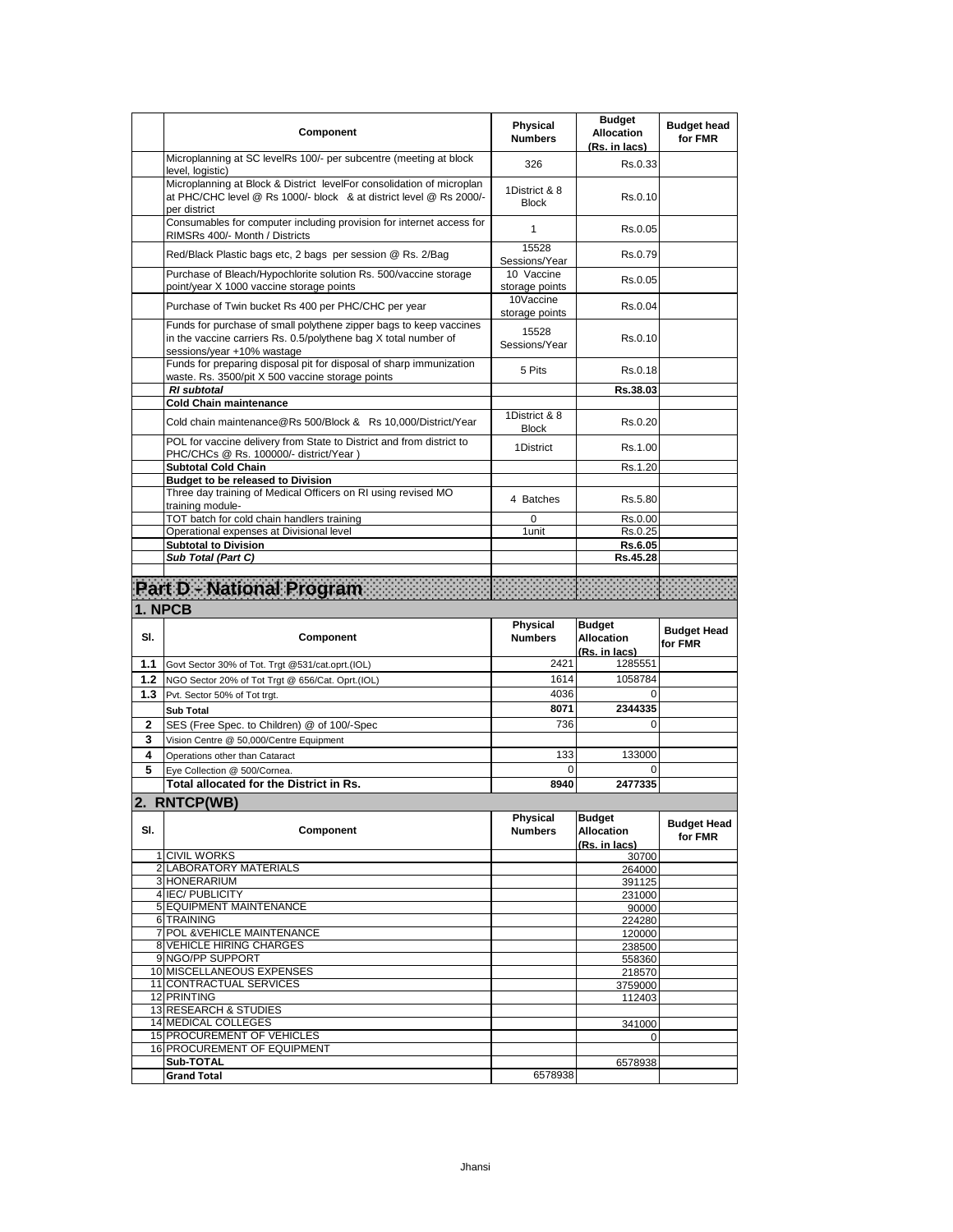|         | Component                                                                                                                                                           | <b>Physical</b><br><b>Numbers</b> | <b>Budget</b><br><b>Allocation</b><br>(Rs. in lacs) | <b>Budget head</b><br>for FMR |
|---------|---------------------------------------------------------------------------------------------------------------------------------------------------------------------|-----------------------------------|-----------------------------------------------------|-------------------------------|
|         | Microplanning at SC levelRs 100/- per subcentre (meeting at block<br>level, logistic)                                                                               | 326                               | Rs.0.33                                             |                               |
|         | Microplanning at Block & District levelFor consolidation of microplan<br>at PHC/CHC level @ Rs 1000/- block & at district level @ Rs 2000/-<br>per district         | 1District & 8<br><b>Block</b>     | Rs.0.10                                             |                               |
|         | Consumables for computer including provision for internet access for<br>RIMSRs 400/- Month / Districts                                                              | $\mathbf{1}$                      | Rs.0.05                                             |                               |
|         | Red/Black Plastic bags etc, 2 bags per session @ Rs. 2/Bag                                                                                                          | 15528<br>Sessions/Year            | Rs.0.79                                             |                               |
|         | Purchase of Bleach/Hypochlorite solution Rs. 500/vaccine storage<br>point/year X 1000 vaccine storage points                                                        | 10 Vaccine<br>storage points      | Rs.0.05                                             |                               |
|         | Purchase of Twin bucket Rs 400 per PHC/CHC per year                                                                                                                 | 10Vaccine<br>storage points       | Rs.0.04                                             |                               |
|         | Funds for purchase of small polythene zipper bags to keep vaccines<br>in the vaccine carriers Rs. 0.5/polythene bag X total number of<br>sessions/year +10% wastage | 15528<br>Sessions/Year            | Rs.0.10                                             |                               |
|         | Funds for preparing disposal pit for disposal of sharp immunization<br>waste. Rs. 3500/pit X 500 vaccine storage points                                             | 5 Pits                            | Rs.0.18                                             |                               |
|         | <b>RI</b> subtotal                                                                                                                                                  |                                   | Rs.38.03                                            |                               |
|         | <b>Cold Chain maintenance</b>                                                                                                                                       |                                   |                                                     |                               |
|         | Cold chain maintenance@Rs 500/Block & Rs 10,000/District/Year                                                                                                       | 1District & 8<br><b>Block</b>     | Rs.0.20                                             |                               |
|         | POL for vaccine delivery from State to District and from district to<br>PHC/CHCs @ Rs. 100000/- district/Year)                                                      | 1District                         | Rs.1.00                                             |                               |
|         | <b>Subtotal Cold Chain</b>                                                                                                                                          |                                   | Rs.1.20                                             |                               |
|         | <b>Budget to be released to Division</b><br>Three day training of Medical Officers on RI using revised MO                                                           |                                   |                                                     |                               |
|         | training module-                                                                                                                                                    | 4 Batches                         | Rs.5.80                                             |                               |
|         | TOT batch for cold chain handlers training<br>Operational expenses at Divisional level                                                                              | 0<br>1unit                        | Rs.0.00<br>Rs.0.25                                  |                               |
|         | <b>Subtotal to Division</b>                                                                                                                                         |                                   | Rs.6.05                                             |                               |
|         | Sub Total (Part C)                                                                                                                                                  |                                   | Rs.45.28                                            |                               |
|         |                                                                                                                                                                     |                                   |                                                     |                               |
|         | Part D - National Program                                                                                                                                           |                                   |                                                     |                               |
|         |                                                                                                                                                                     |                                   |                                                     |                               |
| 1. NPCB |                                                                                                                                                                     |                                   |                                                     |                               |
| SI.     | Component                                                                                                                                                           | <b>Physical</b><br><b>Numbers</b> | <b>Budget</b><br>Allocation<br>(Rs. in lacs)        | <b>Budget Head</b><br>for FMR |
| 1.1     | Govt Sector 30% of Tot. Trgt @531/cat.oprt.(IOL)                                                                                                                    | 2421                              | 1285551                                             |                               |
| 1.2     | NGO Sector 20% of Tot Trgt @ 656/Cat. Oprt.(IOL)                                                                                                                    | 1614                              | 1058784                                             |                               |
| 1.3     | Pvt. Sector 50% of Tot trgt.                                                                                                                                        | 4036                              | $\mathbf 0$                                         |                               |
|         | <b>Sub Total</b>                                                                                                                                                    | 8071                              | 2344335                                             |                               |
| 2       | SES (Free Spec. to Children) @ of 100/-Spec                                                                                                                         | 736                               | $\Omega$                                            |                               |
| 3       | Vision Centre @ 50,000/Centre Equipment                                                                                                                             |                                   |                                                     |                               |
| 4       | Operations other than Cataract                                                                                                                                      | 133                               | 133000                                              |                               |
| 5       | Eye Collection @ 500/Cornea.                                                                                                                                        | 0                                 | 0                                                   |                               |
|         | Total allocated for the District in Rs.                                                                                                                             | 8940                              | 2477335                                             |                               |
|         | 2. RNTCP(WB)                                                                                                                                                        |                                   |                                                     |                               |
| SI.     | Component                                                                                                                                                           | Physical<br><b>Numbers</b>        | <b>Budget</b><br><b>Allocation</b><br>(Rs. in lacs) | <b>Budget Head</b><br>for FMR |
|         | 1 CIVIL WORKS                                                                                                                                                       |                                   | 30700                                               |                               |
|         | 2 LABORATORY MATERIALS                                                                                                                                              |                                   | 264000                                              |                               |
|         | 3 HONERARIUM                                                                                                                                                        |                                   | 391125                                              |                               |
|         | 4 IEC/ PUBLICITY                                                                                                                                                    |                                   | 231000                                              |                               |
|         | <b>5 EQUIPMENT MAINTENANCE</b><br>6 TRAINING                                                                                                                        |                                   | 90000<br>224280                                     |                               |
|         | 7 POL & VEHICLE MAINTENANCE                                                                                                                                         |                                   | 120000                                              |                               |
|         | <b>8 VEHICLE HIRING CHARGES</b>                                                                                                                                     |                                   | 238500                                              |                               |
|         | 9 NGO/PP SUPPORT                                                                                                                                                    |                                   | 558360                                              |                               |
|         | 10 MISCELLANEOUS EXPENSES                                                                                                                                           |                                   | 218570                                              |                               |
|         | 11 CONTRACTUAL SERVICES                                                                                                                                             |                                   | 3759000                                             |                               |
|         | 12 PRINTING<br>13 RESEARCH & STUDIES                                                                                                                                |                                   | 112403                                              |                               |
|         | 14 MEDICAL COLLEGES                                                                                                                                                 |                                   | 341000                                              |                               |
|         | 15 PROCUREMENT OF VEHICLES                                                                                                                                          |                                   | $\mathbf 0$                                         |                               |
|         | 16 PROCUREMENT OF EQUIPMENT                                                                                                                                         |                                   |                                                     |                               |
|         | Sub-TOTAL<br><b>Grand Total</b>                                                                                                                                     | 6578938                           | 6578938                                             |                               |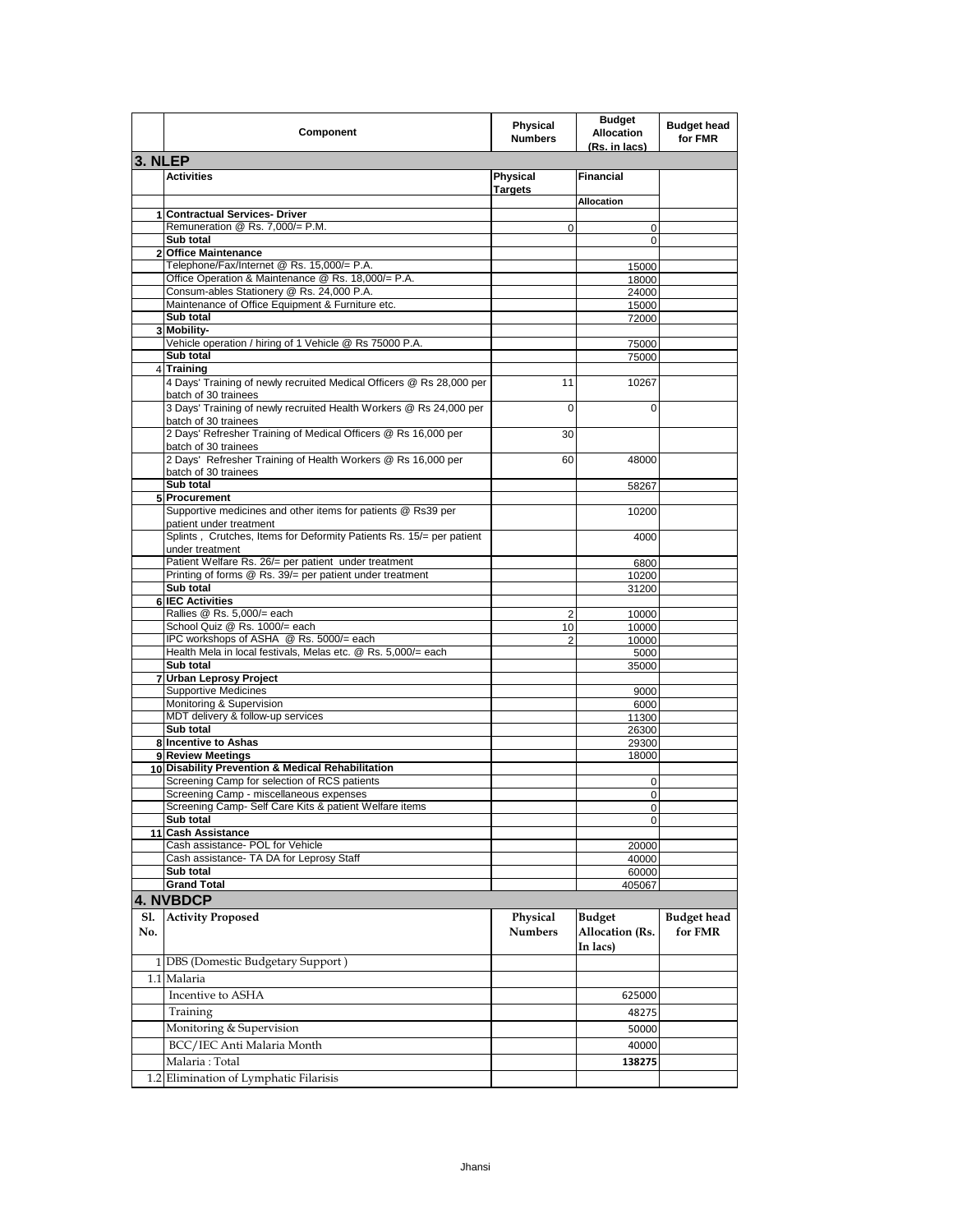|            | Component                                                                                    | <b>Physical</b><br><b>Numbers</b> | <b>Budget</b><br><b>Allocation</b><br>(Rs. in lacs) | <b>Budget head</b><br>for FMR |
|------------|----------------------------------------------------------------------------------------------|-----------------------------------|-----------------------------------------------------|-------------------------------|
| 3. NLEP    |                                                                                              |                                   |                                                     |                               |
|            | <b>Activities</b>                                                                            | Physical<br><b>Targets</b>        | <b>Financial</b>                                    |                               |
|            |                                                                                              |                                   | Allocation                                          |                               |
|            | 1 Contractual Services- Driver                                                               |                                   |                                                     |                               |
|            | Remuneration @ Rs. 7,000/= P.M.<br>Sub total                                                 | $\mathbf 0$                       | 0<br>0                                              |                               |
|            | 2 Office Maintenance                                                                         |                                   |                                                     |                               |
|            | Telephone/Fax/Internet @ Rs. 15,000/= P.A.                                                   |                                   | 15000                                               |                               |
|            | Office Operation & Maintenance @ Rs. 18,000/= P.A.                                           |                                   | 18000                                               |                               |
|            | Consum-ables Stationery @ Rs. 24,000 P.A.                                                    |                                   | 24000                                               |                               |
|            | Maintenance of Office Equipment & Furniture etc.                                             |                                   | 15000                                               |                               |
|            | Sub total<br>3 Mobility-                                                                     |                                   | 72000                                               |                               |
|            | Vehicle operation / hiring of 1 Vehicle @ Rs 75000 P.A.                                      |                                   | 75000                                               |                               |
|            | Sub total                                                                                    |                                   | 75000                                               |                               |
|            | 4 Training                                                                                   |                                   |                                                     |                               |
|            | 4 Days' Training of newly recruited Medical Officers @ Rs 28,000 per<br>batch of 30 trainees | 11                                | 10267                                               |                               |
|            | 3 Days' Training of newly recruited Health Workers @ Rs 24,000 per<br>batch of 30 trainees   | $\mathbf 0$                       | 0                                                   |                               |
|            | 2 Days' Refresher Training of Medical Officers @ Rs 16,000 per<br>batch of 30 trainees       | 30                                |                                                     |                               |
|            | 2 Days' Refresher Training of Health Workers @ Rs 16,000 per<br>batch of 30 trainees         | 60                                | 48000                                               |                               |
|            | Sub total<br>5 Procurement                                                                   |                                   | 58267                                               |                               |
|            | Supportive medicines and other items for patients @ Rs39 per                                 |                                   | 10200                                               |                               |
|            | patient under treatment                                                                      |                                   |                                                     |                               |
|            | Splints, Crutches, Items for Deformity Patients Rs. 15/= per patient<br>under treatment      |                                   | 4000                                                |                               |
|            | Patient Welfare Rs. 26/= per patient under treatment                                         |                                   | 6800                                                |                               |
|            | Printing of forms @ Rs. 39/= per patient under treatment                                     |                                   | 10200                                               |                               |
|            | Sub total<br><b>6 IEC Activities</b>                                                         |                                   | 31200                                               |                               |
|            | Rallies @ Rs. 5,000/= each                                                                   | 2                                 | 10000                                               |                               |
|            | School Quiz @ Rs. 1000/= each                                                                | 10                                | 10000                                               |                               |
|            | IPC workshops of ASHA @ Rs. 5000/= each                                                      | $\overline{2}$                    | 10000                                               |                               |
|            | Health Mela in local festivals, Melas etc. @ Rs. 5,000/= each                                |                                   | 5000                                                |                               |
|            | Sub total                                                                                    |                                   | 35000                                               |                               |
|            | <b>Urban Leprosy Project</b>                                                                 |                                   |                                                     |                               |
|            | <b>Supportive Medicines</b><br>Monitoring & Supervision                                      |                                   | 9000<br>6000                                        |                               |
|            | MDT delivery & follow-up services                                                            |                                   | 11300                                               |                               |
|            | Sub total                                                                                    |                                   | 26300                                               |                               |
|            | 8 Incentive to Ashas                                                                         |                                   | 29300                                               |                               |
|            | 9 Review Meetings                                                                            |                                   | 18000                                               |                               |
|            | 10 Disability Prevention & Medical Rehabilitation                                            |                                   |                                                     |                               |
|            | Screening Camp for selection of RCS patients<br>Screening Camp - miscellaneous expenses      |                                   | 0<br>0                                              |                               |
|            | Screening Camp- Self Care Kits & patient Welfare items                                       |                                   | 0                                                   |                               |
|            | Sub total                                                                                    |                                   | 0                                                   |                               |
|            | 11 Cash Assistance                                                                           |                                   |                                                     |                               |
|            | Cash assistance- POL for Vehicle                                                             |                                   | 20000                                               |                               |
|            | Cash assistance- TA DA for Leprosy Staff                                                     |                                   | 40000                                               |                               |
|            | Sub total<br><b>Grand Total</b>                                                              |                                   | 60000                                               |                               |
|            |                                                                                              |                                   | 405067                                              |                               |
|            | <b>4. NVBDCP</b>                                                                             |                                   |                                                     |                               |
| S1.<br>No. | <b>Activity Proposed</b>                                                                     | Physical<br><b>Numbers</b>        | <b>Budget</b><br><b>Allocation</b> (Rs.             | <b>Budget</b> head<br>for FMR |
|            |                                                                                              |                                   | In lacs)                                            |                               |
|            | 1 DBS (Domestic Budgetary Support)                                                           |                                   |                                                     |                               |
|            | 1.1 Malaria                                                                                  |                                   |                                                     |                               |
|            | Incentive to ASHA                                                                            |                                   | 625000                                              |                               |
|            | Training                                                                                     |                                   | 48275                                               |                               |
|            | Monitoring & Supervision                                                                     |                                   | 50000                                               |                               |
|            | BCC/IEC Anti Malaria Month                                                                   |                                   | 40000                                               |                               |
|            | Malaria : Total                                                                              |                                   | 138275                                              |                               |
|            | 1.2 Elimination of Lymphatic Filarisis                                                       |                                   |                                                     |                               |
|            |                                                                                              |                                   |                                                     |                               |